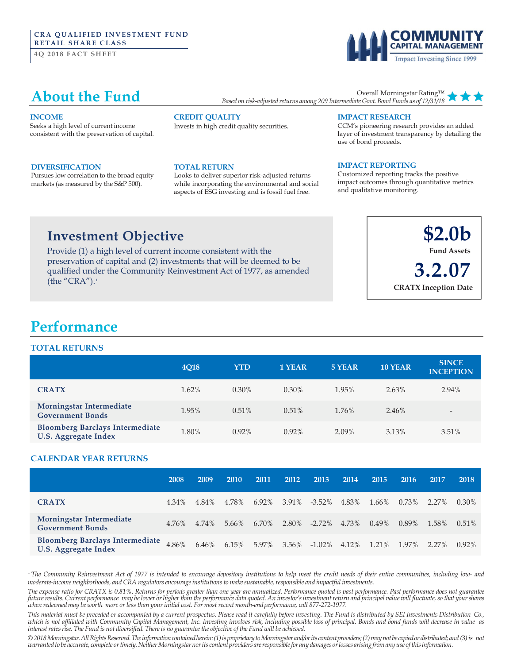#### **CRA QUALIFIED INVESTMENT FUND RETAIL SHARE CLASS**

**4Q 2018 FACT SHEET** 

# **Impact Investing Since 1999**

### **About the Fund**

Overall Morningstar Rating™ *Based on risk-adjusted returns among 209 Intermediate Govt.Bond Funds as of 12/31/18*

#### **INCOME**

Seeks a high level of current income consistent with the preservation of capital.

#### **DIVERSIFICATION**

Pursues low correlation to the broad equity markets (as measured by the S&P 500).

#### **CREDIT QUALITY**

Invests in high credit quality securities.

#### **TOTAL RETURN**

Looks to deliver superior risk-adjusted returns while incorporating the environmental and social aspects of ESG investing and is fossil fuel free.

#### **IMPACT RESEARCH**

CCM's pioneering research provides an added layer of investment transparency by detailing the use of bond proceeds.

#### **IMPACT REPORTING**

Customized reporting tracks the positive impact outcomes through quantitative metrics and qualitative monitoring.

### **Investment Objective**

Provide (1) a high level of current income consistent with the preservation of capital and (2) investments that will be deemed to be qualified under the Community Reinvestment Act of 1977, as amended (the "CRA"). $+$ 

**\$2.0b Fund Assets 3.2.07 CRATX Inception Date**

### **Performance**

#### **TOTAL RETURNS**

|                                                                       | 4Q18  | <b>YTD</b> | 1 YEAR   | 5 YEAR | <b>10 YEAR</b> | <b>SINCE</b><br><b>INCEPTION</b> |
|-----------------------------------------------------------------------|-------|------------|----------|--------|----------------|----------------------------------|
| <b>CRATX</b>                                                          | 1.62% | $0.30\%$   | $0.30\%$ | 1.95%  | 2.63%          | 2.94%                            |
| Morningstar Intermediate<br><b>Government Bonds</b>                   | 1.95% | 0.51%      | 0.51%    | 1.76%  | 2.46%          | $\overline{\phantom{a}}$         |
| <b>Bloomberg Barclays Intermediate</b><br><b>U.S. Aggregate Index</b> | 1.80% | $0.92\%$   | $0.92\%$ | 2.09%  | 3.13%          | 3.51%                            |

### **CALENDAR YEAR RETURNS**

|                                                                       | 2008  | 2009  | 2010  | 2011     | 2012 | 2013                    | 2014 | 2015     | 2016  | 2017  | 2018     |
|-----------------------------------------------------------------------|-------|-------|-------|----------|------|-------------------------|------|----------|-------|-------|----------|
| <b>CRATX</b>                                                          | 4.34% | 4.84% | 4.78% | $6.92\%$ |      | 3.91% -3.52% 4.83%      |      | 1.66%    | 0.73% | 2.27% | 0.30%    |
| Morningstar Intermediate<br><b>Government Bonds</b>                   | 4.76% | 4.74% | 5.66% | 6.70%    |      | 2.80\% -2.72\% 4.73\%   |      | $0.49\%$ | 0.89% | 1.58% | $0.51\%$ |
| <b>Bloomberg Barclays Intermediate</b><br><b>U.S. Aggregate Index</b> | 4.86% | 6.46% | 6.15% | 5.97%    |      | $3.56\%$ -1.02\% 4.12\% |      | 1.21%    | 1.97% | 2.27% | $0.92\%$ |

\* The Community Reinvestment Act of 1977 is intended to encourage depository institutions to help meet the credit needs of their entire communities, including low- and *moderate-income neighborhoods, and CRA regulatorsencourageinstitutionsto makesustainable,responsible and impactful investments.*

The expense ratio for CRATX is 0.81%. Returns for periods greater than one year are annualized. Performance quoted is past performance. Past performance does not guarantee future results. Current performance may be lower or higher than the performance data quoted. An investor's investment return and principal value will fluctuate, so that your shares when redeemed may be worth more or less than your initial cost. For most recent month-end performance, call 877-272-1977.

This material must be preceded or accompanied by a current prospectus. Please read it carefully before investing. The Fund is distributed by SEI Investments Distribution Co., which is not affiliated with Community Capital Management, Inc. Investing involves risk, including possible loss of principal. Bonds and bond funds will decrease in value as *interestratesrise. The Fund is not diversified. Thereis no guaranteethe objective of the Fund will be achieved.*

*©2018Morningstar.AllRightsReserved.Theinformationcontainedherein:(1)is proprietarytoMorningstarand/orits contentproviders;(2)maynotbe copiedordistributed; and (3)is not* warranted to be accurate, complete or timely. Neither Morningstar nor its content providers are responsible for any damages or losses arising from any use of this information.